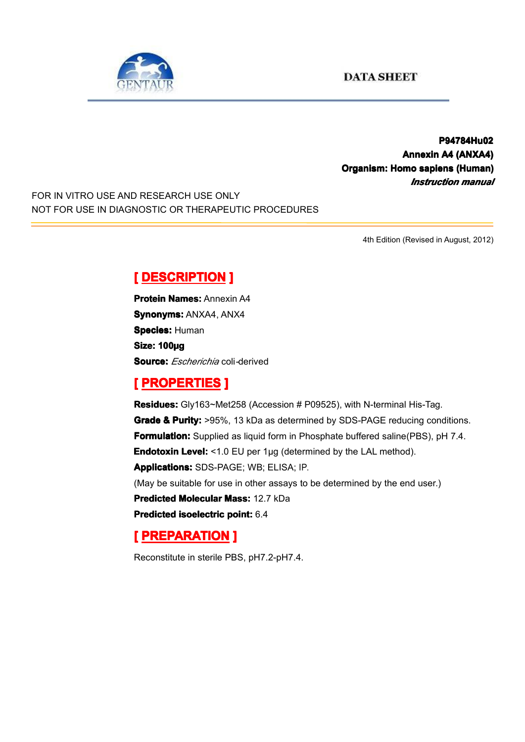

**P94784Hu02 P94784Hu02 Annexin A4 (ANXA4) Organism: Homo sapiens (Human) (Human)** *Instruction manual*

FOR IN VITRO USE AND RESEARCH USE ONLY NOT FOR USE IN DIAGNOSTIC OR THERAPEUTIC PROCEDURES

4th Edition (Revised in August, 2012)

### $[$  **DESCRIPTION** ]

**Protein Names: Annexin A4 Synonyms: ANXA4, ANX4 Species: Human Size: 100µg Source:** *Escherichia* coli*-*derived

# **[ PROPERTIES ROPERTIES ]**

**Residues:** Gly163~Met258 (Accession # P09525), with N-terminal His-Tag. **Grade & Purity: Purity:** >95%, 13 kDa as determined by SDS-PAGE reducing conditions. **Formulation:** Supplied as liquid form in Phosphate buffered saline(PBS), pH 7.4. **Endotoxin Level:** <1.0 EU per 1µg (determined by the LAL method). **Applications:** SDS-PAGE; WB; ELISA; IP. (May be suitable for use in other assays to be determined by the end user.) **Predicted Molecular Mass:** 12.7 kDa **Predicted Predicted[isoelectric](app:ds:  isoelectric point) isoelectricisoelectricisoelectric point:** 6.4

# **[ PREPARATION PREPARATION]**

Reconstitute in sterile PBS, pH7.2-pH7.4.